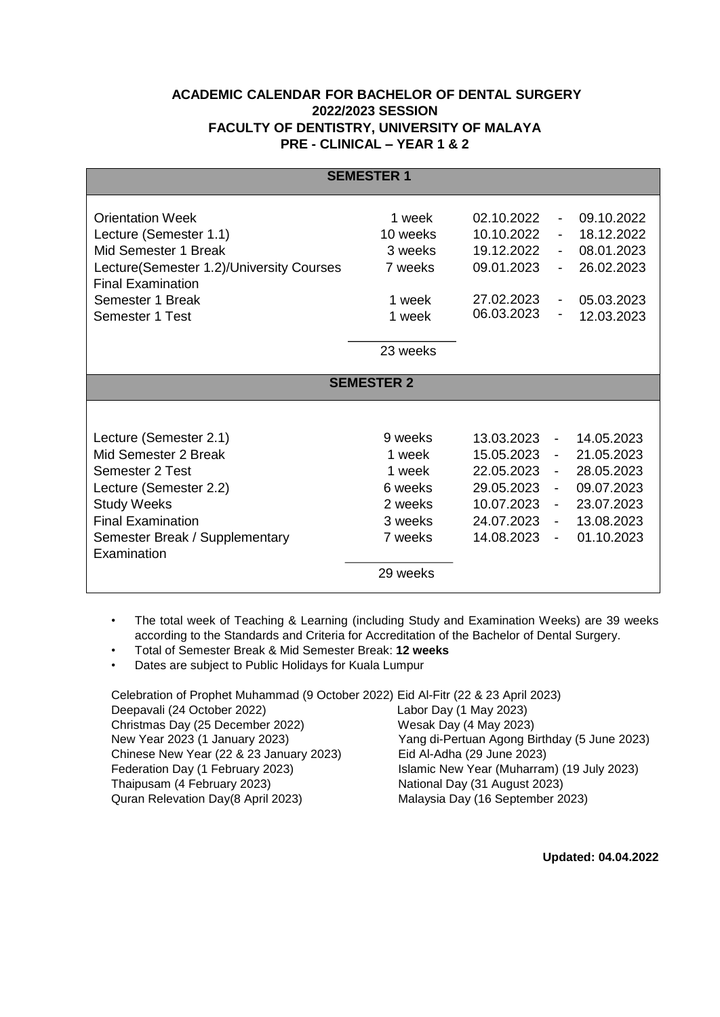## **ACADEMIC CALENDAR FOR BACHELOR OF DENTAL SURGERY 2022/2023 SESSION FACULTY OF DENTISTRY, UNIVERSITY OF MALAYA PRE - CLINICAL – YEAR 1 & 2**

| <b>SEMESTER 1</b>                        |          |            |                          |            |  |  |
|------------------------------------------|----------|------------|--------------------------|------------|--|--|
| <b>Orientation Week</b>                  | 1 week   | 02.10.2022 | $\overline{\phantom{a}}$ | 09.10.2022 |  |  |
| Lecture (Semester 1.1)                   | 10 weeks | 10.10.2022 |                          | 18.12.2022 |  |  |
| Mid Semester 1 Break                     | 3 weeks  | 19.12.2022 | $\blacksquare$           | 08.01.2023 |  |  |
| Lecture(Semester 1.2)/University Courses | 7 weeks  | 09.01.2023 |                          | 26.02.2023 |  |  |
| <b>Final Examination</b>                 |          |            |                          |            |  |  |
| Semester 1 Break                         | 1 week   | 27.02.2023 | $\overline{\phantom{a}}$ | 05.03.2023 |  |  |
| Semester 1 Test                          | 1 week   | 06.03.2023 |                          | 12.03.2023 |  |  |
|                                          |          |            |                          |            |  |  |
|                                          | 23 weeks |            |                          |            |  |  |
|                                          |          |            |                          |            |  |  |
| <b>SEMESTER 2</b>                        |          |            |                          |            |  |  |
|                                          |          |            |                          |            |  |  |
| Lecture (Semester 2.1)                   | 9 weeks  | 13.03.2023 | $\sim$                   | 14.05.2023 |  |  |
| Mid Semester 2 Break                     | 1 week   | 15.05.2023 | $\sim$                   | 21.05.2023 |  |  |
| Semester 2 Test                          | 1 week   | 22.05.2023 | $\sim$                   | 28.05.2023 |  |  |
| Lecture (Semester 2.2)                   | 6 weeks  | 29.05.2023 | $\blacksquare$           | 09.07.2023 |  |  |
| <b>Study Weeks</b>                       | 2 weeks  | 10.07.2023 | $\blacksquare$           | 23.07.2023 |  |  |
| <b>Final Examination</b>                 | 3 weeks  | 24.07.2023 |                          | 13.08.2023 |  |  |
| Semester Break / Supplementary           | 7 weeks  | 14.08.2023 | $\overline{\phantom{a}}$ | 01.10.2023 |  |  |
| Examination                              |          |            |                          |            |  |  |
|                                          | 29 weeks |            |                          |            |  |  |
|                                          |          |            |                          |            |  |  |

- The total week of Teaching & Learning (including Study and Examination Weeks) are 39 weeks according to the Standards and Criteria for Accreditation of the Bachelor of Dental Surgery.
- Total of Semester Break & Mid Semester Break: **12 weeks**
- Dates are subject to Public Holidays for Kuala Lumpur

Celebration of Prophet Muhammad (9 October 2022) Eid Al-Fitr (22 & 23 April 2023)

Deepavali (24 October 2022) Labor Day (1 May 2023) Christmas Day (25 December 2022) Wesak Day (4 May 2023) Chinese New Year (22 & 23 January 2023) Eid Al-Adha (29 June 2023) Thaipusam (4 February 2023) National Day (31 August 2023) Quran Relevation Day(8 April 2023) Malaysia Day (16 September 2023)

New Year 2023 (1 January 2023) Yang di-Pertuan Agong Birthday (5 June 2023) Federation Day (1 February 2023) Islamic New Year (Muharram) (19 July 2023)

 **Updated: 04.04.2022**